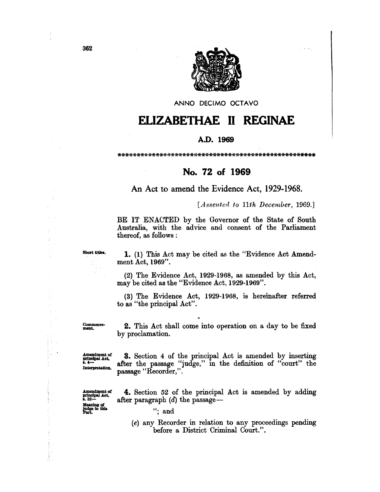

ANNO DECIMO OCTAVO

## ELIZABETHAE II REGINAE

## A.D. 1969

## No. 72 of 1969

An Act to amend the Evidence Act, 1929-1968.

 $-$ [Assented to 11th December, 1969.]

BE IT ENACTED by the Governor of the State of South Australia, with the advice and consent of the Parliament thereof, as follows :

Short titles.

 $\bar{z}$ 

ć,

the cost support

1. (1) This Act may be cited as the "Evidence Act Amendment Act, 1969".

 $(2)$  The Evidence Act, 1929-1968, as amended by this Act, may be cited as the "Evidence Act, 1929-1969".

(3) The Evidence Act, 1929-1968, is hereinafter referred to as "the principal Act".

Commence-<br>ment.

2. This Act shall come into operation on a day to be fixed by proclamation.

Amendment of principal Act,<br>8.4-Interpretation.

**3.** Section 4 of the principal Act is amended by inserting after the passage "judge," in the definition of "court" the passage "Recorder,".

Amendment of<br>principal Act,<br>s.  $52-$ Meaning of<br>judge in this<br>Part.

4. Section 52 of the principal Act is amended by adding after paragraph  $(d)$  the passage —

before a District Criminal Court.".

(e) any Recorder in relation to any proceedings pending

": and